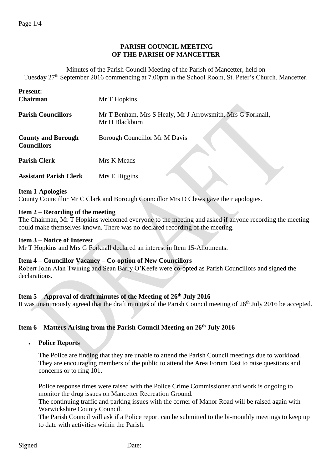# **PARISH COUNCIL MEETING OF THE PARISH OF MANCETTER**

Minutes of the Parish Council Meeting of the Parish of Mancetter, held on Tuesday 27th September 2016 commencing at 7.00pm in the School Room, St. Peter's Church, Mancetter.

| <b>Present:</b><br><b>Chairman</b>              | Mr T Hopkins                                                                 |
|-------------------------------------------------|------------------------------------------------------------------------------|
| <b>Parish Councillors</b>                       | Mr T Benham, Mrs S Healy, Mr J Arrowsmith, Mrs G Forknall,<br>Mr H Blackburn |
| <b>County and Borough</b><br><b>Councillors</b> | Borough Councillor Mr M Davis                                                |
| <b>Parish Clerk</b>                             | Mrs K Meads                                                                  |
| <b>Assistant Parish Clerk</b>                   | Mrs E Higgins                                                                |

#### **Item 1-Apologies**

County Councillor Mr C Clark and Borough Councillor Mrs D Clews gave their apologies.

#### **Item 2 – Recording of the meeting**

The Chairman, Mr T Hopkins welcomed everyone to the meeting and asked if anyone recording the meeting could make themselves known. There was no declared recording of the meeting.

### **Item 3 – Notice of Interest**

Mr T Hopkins and Mrs G Forknall declared an interest in Item 15-Allotments.

#### **Item 4 – Councillor Vacancy – Co-option of New Councillors**

Robert John Alan Twining and Sean Barry O'Keefe were co-opted as Parish Councillors and signed the declarations.

#### **Item 5 –-Approval of draft minutes of the Meeting of 26th July 2016**

It was unanimously agreed that the draft minutes of the Parish Council meeting of 26<sup>th</sup> July 2016 be accepted.

## **Item 6 – Matters Arising from the Parish Council Meeting on 26th July 2016**

**Police Reports**

The Police are finding that they are unable to attend the Parish Council meetings due to workload. They are encouraging members of the public to attend the Area Forum East to raise questions and concerns or to ring 101.

Police response times were raised with the Police Crime Commissioner and work is ongoing to monitor the drug issues on Mancetter Recreation Ground.

The continuing traffic and parking issues with the corner of Manor Road will be raised again with Warwickshire County Council.

The Parish Council will ask if a Police report can be submitted to the bi-monthly meetings to keep up to date with activities within the Parish.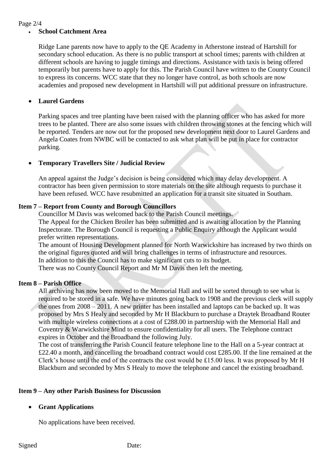#### Page 2/4

### **School Catchment Area**

Ridge Lane parents now have to apply to the QE Academy in Atherstone instead of Hartshill for secondary school education. As there is no public transport at school times; parents with children at different schools are having to juggle timings and directions. Assistance with taxis is being offered temporarily but parents have to apply for this. The Parish Council have written to the County Council to express its concerns. WCC state that they no longer have control, as both schools are now academies and proposed new development in Hartshill will put additional pressure on infrastructure.

## **Laurel Gardens**

Parking spaces and tree planting have been raised with the planning officer who has asked for more trees to be planted. There are also some issues with children throwing stones at the fencing which will be reported. Tenders are now out for the proposed new development next door to Laurel Gardens and Angela Coates from NWBC will be contacted to ask what plan will be put in place for contractor parking.

## **Temporary Travellers Site / Judicial Review**

An appeal against the Judge's decision is being considered which may delay development. A contractor has been given permission to store materials on the site although requests to purchase it have been refused. WCC have resubmitted an application for a transit site situated in Southam.

### **Item 7 – Report from County and Borough Councillors**

Councillor M Davis was welcomed back to the Parish Council meetings. The Appeal for the Chicken Broiler has been submitted and is awaiting allocation by the Planning Inspectorate. The Borough Council is requesting a Public Enquiry although the Applicant would prefer written representations.

The amount of Housing Development planned for North Warwickshire has increased by two thirds on the original figures quoted and will bring challenges in terms of infrastructure and resources. In addition to this the Council has to make significant cuts to its budget.

There was no County Council Report and Mr M Davis then left the meeting.

## **Item 8 – Parish Office**

All archiving has now been moved to the Memorial Hall and will be sorted through to see what is required to be stored in a safe. We have minutes going back to 1908 and the previous clerk will supply the ones from 2008 – 2011. A new printer has been installed and laptops can be backed up. It was proposed by Mrs S Healy and seconded by Mr H Blackburn to purchase a Draytek Broadband Router with multiple wireless connections at a cost of £288.00 in partnership with the Memorial Hall and Coventry & Warwickshire Mind to ensure confidentiality for all users. The Telephone contract expires in October and the Broadband the following July.

The cost of transferring the Parish Council feature telephone line to the Hall on a 5-year contract at £22.40 a month, and cancelling the broadband contract would cost £285.00. If the line remained at the Clerk's house until the end of the contracts the cost would be £15.00 less. It was proposed by Mr H Blackburn and seconded by Mrs S Healy to move the telephone and cancel the existing broadband.

#### **Item 9 – Any other Parish Business for Discussion**

#### **Grant Applications**

No applications have been received.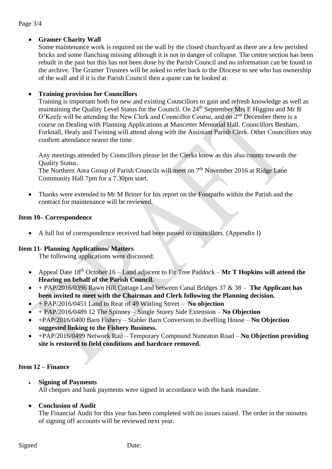### Page 3/4

## **Gramer Charity Wall**

Some maintenance work is required on the wall by the closed churchyard as there are a few perished bricks and some flanching missing although it is not in danger of collapse. The centre section has been rebuilt in the past but this has not been done by the Parish Council and no information can be found in the archive. The Gramer Trustees will be asked to refer back to the Diocese to see who has ownership of the wall and if it is the Parish Council then a quote can be looked at.

## **Training provision for Councillors**

Training is important both for new and existing Councillors to gain and refresh knowledge as well as maintaining the Quality Level Status for the Council. On 24<sup>th</sup> September Mrs E Higgins and Mr B O'Keefe will be attending the New Clerk and Councillor Course, and on 2nd December there is a course on Dealing with Planning Applications at Mancetter Memorial Hall. Councillors Benham, Forknall, Healy and Twining will attend along with the Assistant Parish Clerk. Other Councillors may confirm attendance nearer the time.

Any meetings attended by Councillors please let the Clerks know as this also counts towards the Quality Status.

The Northern Area Group of Parish Councils will meet on  $7<sup>th</sup>$  November 2016 at Ridge Lane Community Hall 7pm for a 7.30pm start.

• Thanks were extended to Mr M Briner for his report on the Footpaths within the Parish and the contract for maintenance will be reviewed.

### **Item 10– Correspondence**

A full list of correspondence received had been passed to councillors. (Appendix I)

#### **Item 11- Planning Applications/ Matters**

The following applications were discussed:

- Appeal Date 18th October 16 Land adjacent to Fir Tree Paddock **Mr T Hopkins will attend the Hearing on behalf of the Parish Council.**
- + PAP/2016/0396 Rawn Hill Cottage Land between Canal Bridges 37 & 38 **The Applicant has been invited to meet with the Chairman and Clerk following the Planning decision.**
- + PAP/2016/0451 Land to Rear of 49 Watling Street **No objection**
- + PAP/2016/0489 12 The Spinney Single Storey Side Extension **No Objection**
- +PAP/2016/0400 Barn Fishery Stable/ Barn Conversion to dwelling House **No Objection suggested linking to the Fishery Business.**
- +PAP/2016/0499 Network Rail Temporary Compound Nuneaton Road **No Objection providing site is restored to field conditions and hardcore removed.**

## **Item 12 – Finance**

- **Signing of Payments** All cheques and bank payments were signed in accordance with the bank mandate.
- **Conclusion of Audit**

The Financial Audit for this year has been completed with no issues raised. The order in the minutes of signing off accounts will be reviewed next year.